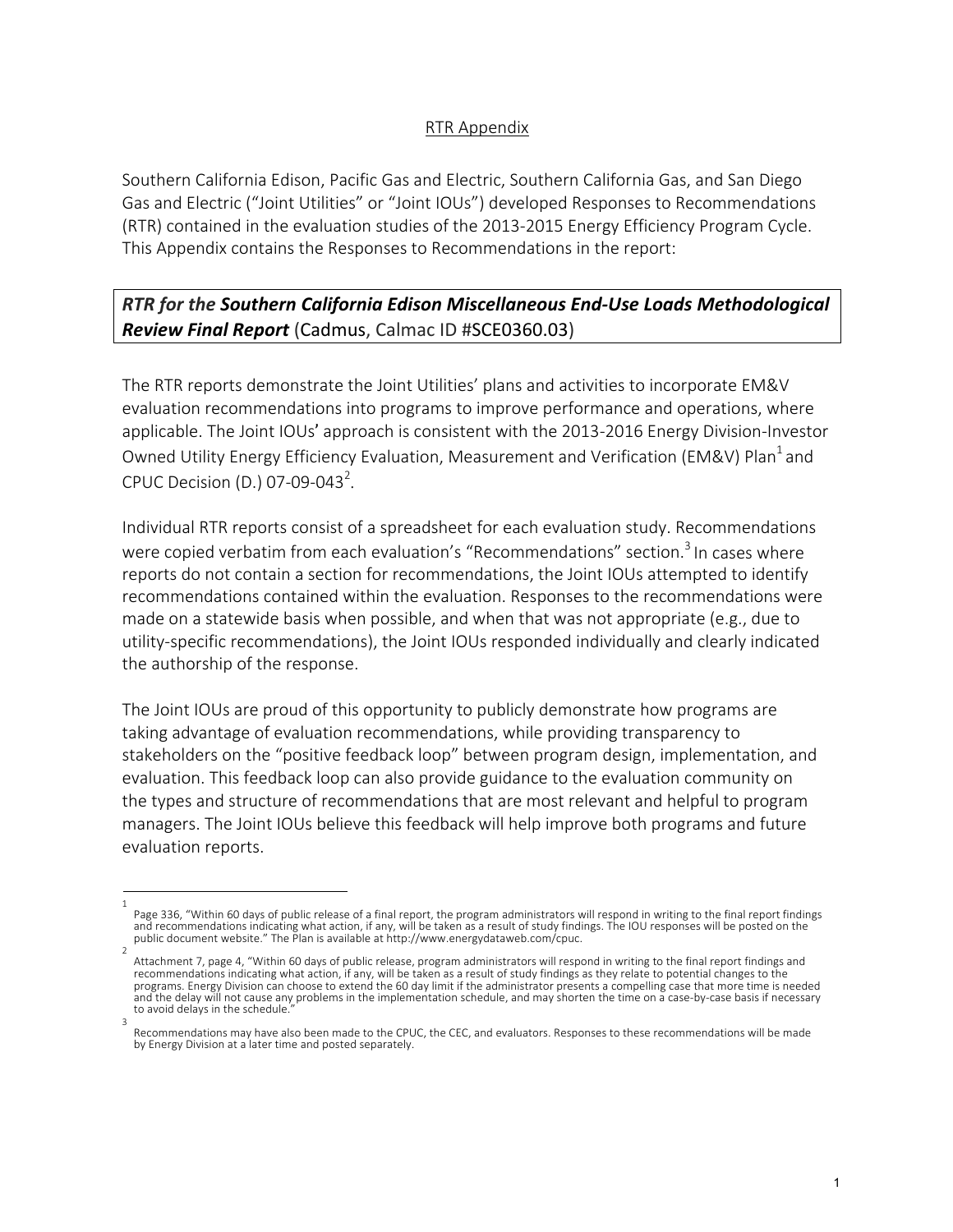## RTR Appendix

Southern California Edison, Pacific Gas and Electric, Southern California Gas, and San Diego Gas and Electric ("Joint Utilities" or "Joint IOUs") developed Responses to Recommendations (RTR) contained in the evaluation studies of the 2013-2015 Energy Efficiency Program Cycle. This Appendix contains the Responses to Recommendations in the report:

## *RTR for the Southern California Edison Miscellaneous End-Use Loads Methodological Review Final Report* (Cadmus, Calmac ID #SCE0360.03)

The RTR reports demonstrate the Joint Utilities' plans and activities to incorporate EM&V evaluation recommendations into programs to improve performance and operations, where applicable. The Joint IOUs' approach is consistent with the 2013-2016 Energy Division-Investor Owned Utility Energy Efficiency Evaluation, Measurement and Verification (EM&V) Plan<sup>1</sup> and CPUC Decision (D.) 07-09-043<sup>2</sup>.

Individual RTR reports consist of a spreadsheet for each evaluation study. Recommendations were copied verbatim from each evaluation's "Recommendations" section.<sup>3</sup> In cases where reports do not contain a section for recommendations, the Joint IOUs attempted to identify recommendations contained within the evaluation. Responses to the recommendations were made on a statewide basis when possible, and when that was not appropriate (e.g., due to utility-specific recommendations), the Joint IOUs responded individually and clearly indicated the authorship of the response.

The Joint IOUs are proud of this opportunity to publicly demonstrate how programs are taking advantage of evaluation recommendations, while providing transparency to stakeholders on the "positive feedback loop" between program design, implementation, and evaluation. This feedback loop can also provide guidance to the evaluation community on the types and structure of recommendations that are most relevant and helpful to program managers. The Joint IOUs believe this feedback will help improve both programs and future evaluation reports.

<sup>1</sup>  Page 336, "Within 60 days of public release of a final report, the program administrators will respond in writing to the final report findings and recommendations indicating what action, if any, will be taken as a result of study findings. The IOU responses will be posted on the public document website." The Plan is available at http://www.energydataweb.com/cpuc.

Attachment 7, page 4, "Within 60 days of public release, program administrators will respond in writing to the final report findings and recommendations indicating what action, if any, will be taken as a result of study findings as they relate to potential changes to the programs. Energy Division can choose to extend the 60 day limit if the administrator presents a compelling case that more time is needed and the delay will not cause any problems in the implementation schedule, and may shorten the time on a case-by-case basis if necessary to avoid delays in the schedule. 3

Recommendations may have also been made to the CPUC, the CEC, and evaluators. Responses to these recommendations will be made by Energy Division at a later time and posted separately.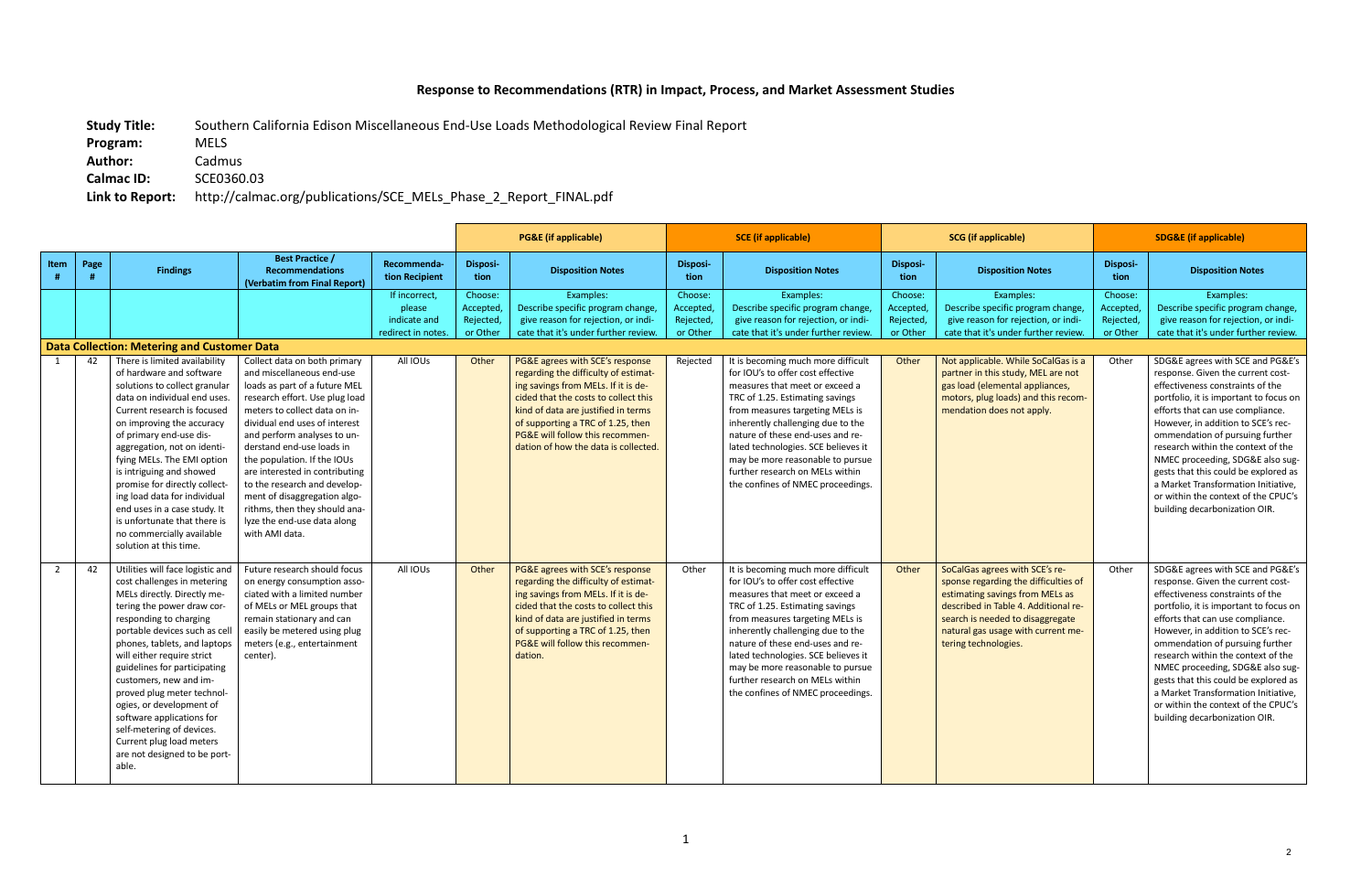## **Response to Recommendations (RTR) in Impact, Process, and Market Assessment Studies**

**Study Title:** Southern California Edison Miscellaneous End-Use Loads Methodological Review Final Report

**Program:** MELS

**Author:** Cadmus

**Calmac ID:** SCE0360.03

**Link to Report:** http://calmac.org/publications/SCE\_MELs\_Phase\_2\_Report\_FINAL.pdf

|      |      |                                                                                                                                                                                                                                                                                                                                                                                                                                                                                                          |                                                                                                                                                                                                                                                                                                                                                                                                                                                                               |                                                               |                                             | <b>PG&amp;E</b> (if applicable)                                                                                                                                                                                                                                                                               | <b>SCE</b> (if applicable)                    |                                                                                                                                                                                                                                                                                                                                                                                                             | <b>SCG</b> (if applicable)                    |                                                                                                                                                                                                                                                     | <b>SDG&amp;E (if applicable)</b>             |                                                                                                                                                                                                                                                                                                                                                                                                                                                                                                   |  |
|------|------|----------------------------------------------------------------------------------------------------------------------------------------------------------------------------------------------------------------------------------------------------------------------------------------------------------------------------------------------------------------------------------------------------------------------------------------------------------------------------------------------------------|-------------------------------------------------------------------------------------------------------------------------------------------------------------------------------------------------------------------------------------------------------------------------------------------------------------------------------------------------------------------------------------------------------------------------------------------------------------------------------|---------------------------------------------------------------|---------------------------------------------|---------------------------------------------------------------------------------------------------------------------------------------------------------------------------------------------------------------------------------------------------------------------------------------------------------------|-----------------------------------------------|-------------------------------------------------------------------------------------------------------------------------------------------------------------------------------------------------------------------------------------------------------------------------------------------------------------------------------------------------------------------------------------------------------------|-----------------------------------------------|-----------------------------------------------------------------------------------------------------------------------------------------------------------------------------------------------------------------------------------------------------|----------------------------------------------|---------------------------------------------------------------------------------------------------------------------------------------------------------------------------------------------------------------------------------------------------------------------------------------------------------------------------------------------------------------------------------------------------------------------------------------------------------------------------------------------------|--|
| Item | Page | <b>Findings</b>                                                                                                                                                                                                                                                                                                                                                                                                                                                                                          | <b>Best Practice /</b><br><b>Recommendations</b><br>(Verbatim from Final Report)                                                                                                                                                                                                                                                                                                                                                                                              | Recommenda-<br>tion Recipient                                 | Disposi-<br>tion                            | <b>Disposition Notes</b>                                                                                                                                                                                                                                                                                      | Disposi-<br>tion                              | <b>Disposition Notes</b>                                                                                                                                                                                                                                                                                                                                                                                    | <b>Disposi-</b><br>tion                       | <b>Disposition Notes</b>                                                                                                                                                                                                                            | Disposi-<br>tion                             | <b>Disposition Notes</b>                                                                                                                                                                                                                                                                                                                                                                                                                                                                          |  |
|      |      |                                                                                                                                                                                                                                                                                                                                                                                                                                                                                                          |                                                                                                                                                                                                                                                                                                                                                                                                                                                                               | If incorrect.<br>please<br>indicate and<br>redirect in notes. | Choose:<br>Accepted<br>Rejected<br>or Other | Examples:<br>Describe specific program change,<br>give reason for rejection, or indi-<br>cate that it's under further review.                                                                                                                                                                                 | Choose:<br>Accepted,<br>Rejected,<br>or Other | Examples:<br>Describe specific program change,<br>give reason for rejection, or indi-<br>cate that it's under further review.                                                                                                                                                                                                                                                                               | Choose:<br>Accepted,<br>Rejected,<br>or Other | Examples:<br>Describe specific program change,<br>give reason for rejection, or indi-<br>cate that it's under further review.                                                                                                                       | Choose:<br>Accepted,<br>Rejected<br>or Other | Examples:<br>Describe specific program change,<br>give reason for rejection, or indi-<br>cate that it's under further review.                                                                                                                                                                                                                                                                                                                                                                     |  |
|      |      | <b>Data Collection: Metering and Customer Data</b>                                                                                                                                                                                                                                                                                                                                                                                                                                                       |                                                                                                                                                                                                                                                                                                                                                                                                                                                                               |                                                               |                                             |                                                                                                                                                                                                                                                                                                               |                                               |                                                                                                                                                                                                                                                                                                                                                                                                             |                                               |                                                                                                                                                                                                                                                     |                                              |                                                                                                                                                                                                                                                                                                                                                                                                                                                                                                   |  |
|      | 42   | There is limited availability<br>of hardware and software<br>solutions to collect granular<br>data on individual end uses.<br>Current research is focused<br>on improving the accuracy<br>of primary end-use dis-<br>aggregation, not on identi-<br>fying MELs. The EMI option<br>is intriguing and showed<br>promise for directly collect-<br>ing load data for individual<br>end uses in a case study. It<br>is unfortunate that there is<br>no commercially available<br>solution at this time.       | Collect data on both primary<br>and miscellaneous end-use<br>loads as part of a future MEL<br>research effort. Use plug load<br>meters to collect data on in-<br>dividual end uses of interest<br>and perform analyses to un-<br>derstand end-use loads in<br>the population. If the IOUs<br>are interested in contributing<br>to the research and develop-<br>ment of disaggregation algo-<br>rithms, then they should ana-<br>lyze the end-use data along<br>with AMI data. | All IOUs                                                      | Other                                       | PG&E agrees with SCE's response<br>regarding the difficulty of estimat-<br>ing savings from MELs. If it is de-<br>cided that the costs to collect this<br>kind of data are justified in terms<br>of supporting a TRC of 1.25, then<br>PG&E will follow this recommen-<br>dation of how the data is collected. | Rejected                                      | It is becoming much more difficult<br>for IOU's to offer cost effective<br>measures that meet or exceed a<br>TRC of 1.25. Estimating savings<br>from measures targeting MELs is<br>inherently challenging due to the<br>nature of these end-uses and re-<br>lated technologies. SCE believes it<br>may be more reasonable to pursue<br>further research on MELs within<br>the confines of NMEC proceedings. | Other                                         | Not applicable. While SoCalGas is a<br>partner in this study, MEL are not<br>gas load (elemental appliances,<br>motors, plug loads) and this recom-<br>mendation does not apply.                                                                    | Other                                        | SDG&E agrees with SCE and PG&E's<br>response. Given the current cost-<br>effectiveness constraints of the<br>portfolio, it is important to focus on<br>efforts that can use compliance.<br>However, in addition to SCE's rec-<br>ommendation of pursuing further<br>research within the context of the<br>NMEC proceeding, SDG&E also sug-<br>gests that this could be explored as<br>a Market Transformation Initiative.<br>or within the context of the CPUC's<br>building decarbonization OIR. |  |
| 2    | 42   | Utilities will face logistic and<br>cost challenges in metering<br>MELs directly. Directly me-<br>tering the power draw cor-<br>responding to charging<br>portable devices such as cell<br>phones, tablets, and laptops<br>will either require strict<br>guidelines for participating<br>customers, new and im-<br>proved plug meter technol-<br>ogies, or development of<br>software applications for<br>self-metering of devices.<br>Current plug load meters<br>are not designed to be port-<br>able. | Future research should focus<br>on energy consumption asso-<br>ciated with a limited number<br>of MELs or MEL groups that<br>remain stationary and can<br>easily be metered using plug<br>meters (e.g., entertainment<br>center).                                                                                                                                                                                                                                             | All IOUs                                                      | Other                                       | PG&E agrees with SCE's response<br>regarding the difficulty of estimat-<br>ing savings from MELs. If it is de-<br>cided that the costs to collect this<br>kind of data are justified in terms<br>of supporting a TRC of 1.25, then<br>PG&E will follow this recommen-<br>dation.                              | Other                                         | It is becoming much more difficult<br>for IOU's to offer cost effective<br>measures that meet or exceed a<br>TRC of 1.25. Estimating savings<br>from measures targeting MELs is<br>inherently challenging due to the<br>nature of these end-uses and re-<br>lated technologies. SCE believes it<br>may be more reasonable to pursue<br>further research on MELs within<br>the confines of NMEC proceedings. | Other                                         | SoCalGas agrees with SCE's re-<br>sponse regarding the difficulties of<br>estimating savings from MELs as<br>described in Table 4. Additional re-<br>search is needed to disaggregate<br>natural gas usage with current me-<br>tering technologies. | Other                                        | SDG&E agrees with SCE and PG&E's<br>response. Given the current cost-<br>effectiveness constraints of the<br>portfolio, it is important to focus on<br>efforts that can use compliance.<br>However, in addition to SCE's rec-<br>ommendation of pursuing further<br>research within the context of the<br>NMEC proceeding, SDG&E also sug-<br>gests that this could be explored as<br>a Market Transformation Initiative.<br>or within the context of the CPUC's<br>building decarbonization OIR. |  |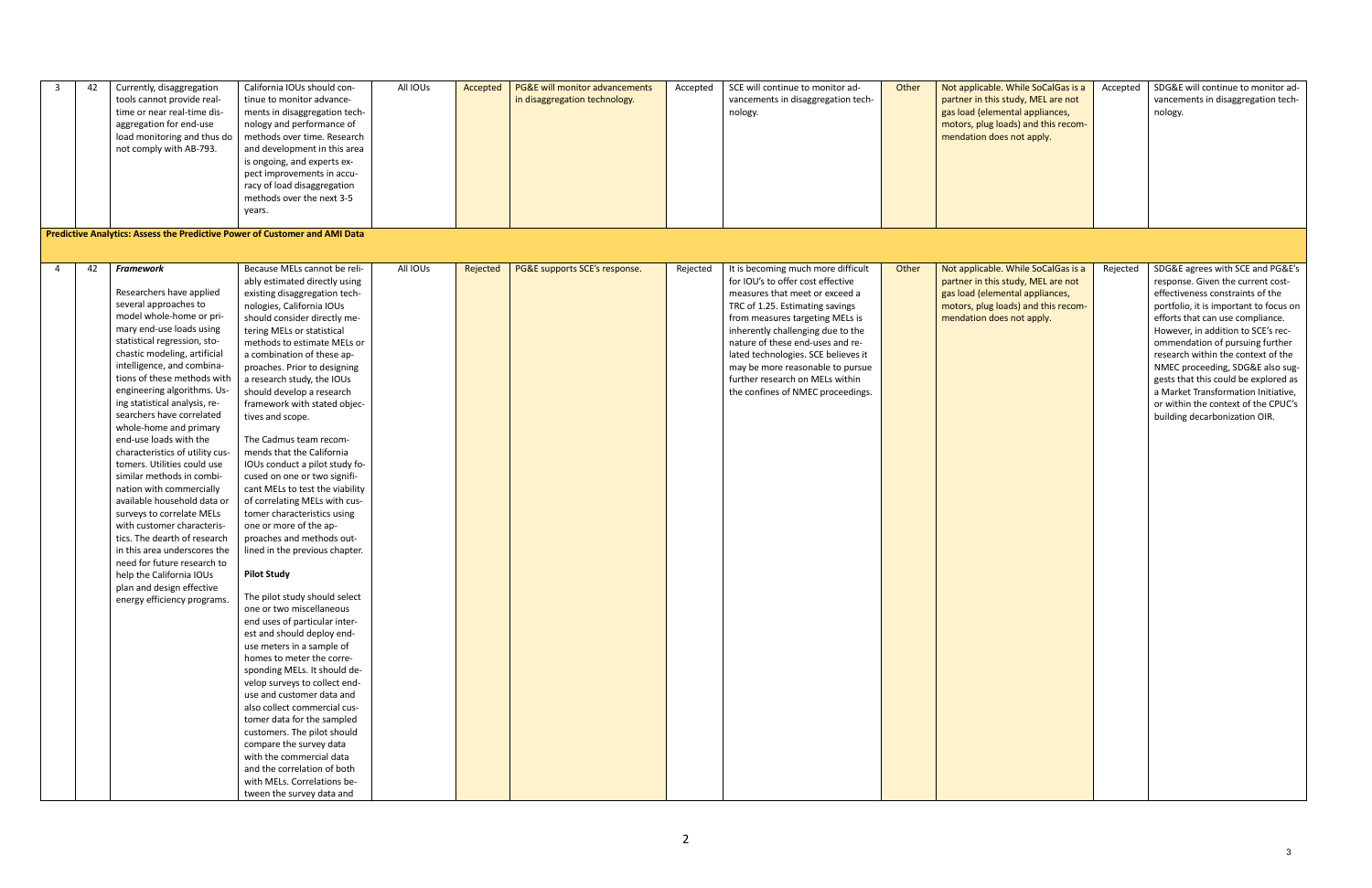| 3              | 42 | Currently, disaggregation<br>tools cannot provide real-<br>time or near real-time dis-<br>aggregation for end-use<br>load monitoring and thus do<br>not comply with AB-793.                                                                                                                                                                                                                                                                                                                                                                                                                                                                                                                                                                                                                                             | California IOUs should con-<br>tinue to monitor advance-<br>ments in disaggregation tech-<br>nology and performance of<br>methods over time. Research<br>and development in this area<br>is ongoing, and experts ex-<br>pect improvements in accu-<br>racy of load disaggregation<br>methods over the next 3-5<br>years.<br>Predictive Analytics: Assess the Predictive Power of Customer and AMI Data                                                                                                                                                                                                                                                                                                                                                                                                                                                                                                                                                                                                                                                                                                                                                                                                                                                                              | All IOUs | Accepted | PG&E will monitor advancements<br>in disaggregation technology. | Accepted | SCE will continue to monitor ad-<br>vancements in disaggregation tech-<br>nology.                                                                                                                                                                                                                                                                                                                           | Other | Not applicable. While SoCalGas is a<br>partner in this study, MEL are not<br>gas load (elemental appliances,<br>motors, plug loads) and this recom-<br>mendation does not apply. | Accepted | SDG&E will continue to monitor ad-<br>vancements in disaggregation tech-<br>nology.                                                                                                                                                                                                                                                                                                                                                                                                               |
|----------------|----|-------------------------------------------------------------------------------------------------------------------------------------------------------------------------------------------------------------------------------------------------------------------------------------------------------------------------------------------------------------------------------------------------------------------------------------------------------------------------------------------------------------------------------------------------------------------------------------------------------------------------------------------------------------------------------------------------------------------------------------------------------------------------------------------------------------------------|-------------------------------------------------------------------------------------------------------------------------------------------------------------------------------------------------------------------------------------------------------------------------------------------------------------------------------------------------------------------------------------------------------------------------------------------------------------------------------------------------------------------------------------------------------------------------------------------------------------------------------------------------------------------------------------------------------------------------------------------------------------------------------------------------------------------------------------------------------------------------------------------------------------------------------------------------------------------------------------------------------------------------------------------------------------------------------------------------------------------------------------------------------------------------------------------------------------------------------------------------------------------------------------|----------|----------|-----------------------------------------------------------------|----------|-------------------------------------------------------------------------------------------------------------------------------------------------------------------------------------------------------------------------------------------------------------------------------------------------------------------------------------------------------------------------------------------------------------|-------|----------------------------------------------------------------------------------------------------------------------------------------------------------------------------------|----------|---------------------------------------------------------------------------------------------------------------------------------------------------------------------------------------------------------------------------------------------------------------------------------------------------------------------------------------------------------------------------------------------------------------------------------------------------------------------------------------------------|
|                |    |                                                                                                                                                                                                                                                                                                                                                                                                                                                                                                                                                                                                                                                                                                                                                                                                                         |                                                                                                                                                                                                                                                                                                                                                                                                                                                                                                                                                                                                                                                                                                                                                                                                                                                                                                                                                                                                                                                                                                                                                                                                                                                                                     |          |          |                                                                 |          |                                                                                                                                                                                                                                                                                                                                                                                                             |       |                                                                                                                                                                                  |          |                                                                                                                                                                                                                                                                                                                                                                                                                                                                                                   |
| $\overline{a}$ | 42 | <b>Framework</b><br>Researchers have applied<br>several approaches to<br>model whole-home or pri-<br>mary end-use loads using<br>statistical regression, sto-<br>chastic modeling, artificial<br>intelligence, and combina-<br>tions of these methods with<br>engineering algorithms. Us-<br>ing statistical analysis, re-<br>searchers have correlated<br>whole-home and primary<br>end-use loads with the<br>characteristics of utility cus-<br>tomers. Utilities could use<br>similar methods in combi-<br>nation with commercially<br>available household data or<br>surveys to correlate MELs<br>with customer characteris-<br>tics. The dearth of research<br>in this area underscores the<br>need for future research to<br>help the California IOUs<br>plan and design effective<br>energy efficiency programs. | Because MELs cannot be reli-<br>ably estimated directly using<br>existing disaggregation tech-<br>nologies, California IOUs<br>should consider directly me-<br>tering MELs or statistical<br>methods to estimate MELs or<br>a combination of these ap-<br>proaches. Prior to designing<br>a research study, the IOUs<br>should develop a research<br>framework with stated objec-<br>tives and scope.<br>The Cadmus team recom-<br>mends that the California<br>IOUs conduct a pilot study fo-<br>cused on one or two signifi-<br>cant MELs to test the viability<br>of correlating MELs with cus-<br>tomer characteristics using<br>one or more of the ap-<br>proaches and methods out-<br>lined in the previous chapter.<br><b>Pilot Study</b><br>The pilot study should select<br>one or two miscellaneous<br>end uses of particular inter-<br>est and should deploy end-<br>use meters in a sample of<br>homes to meter the corre-<br>sponding MELs. It should de-<br>velop surveys to collect end-<br>use and customer data and<br>also collect commercial cus-<br>tomer data for the sampled<br>customers. The pilot should<br>compare the survey data<br>with the commercial data<br>and the correlation of both<br>with MELs. Correlations be-<br>tween the survey data and | All IOUs | Rejected | PG&E supports SCE's response.                                   | Rejected | It is becoming much more difficult<br>for IOU's to offer cost effective<br>measures that meet or exceed a<br>TRC of 1.25. Estimating savings<br>from measures targeting MELs is<br>inherently challenging due to the<br>nature of these end-uses and re-<br>lated technologies. SCE believes it<br>may be more reasonable to pursue<br>further research on MELs within<br>the confines of NMEC proceedings. | Other | Not applicable. While SoCalGas is a<br>partner in this study, MEL are not<br>gas load (elemental appliances,<br>motors, plug loads) and this recom-<br>mendation does not apply. | Rejected | SDG&E agrees with SCE and PG&E's<br>response. Given the current cost-<br>effectiveness constraints of the<br>portfolio, it is important to focus on<br>efforts that can use compliance.<br>However, in addition to SCE's rec-<br>ommendation of pursuing further<br>research within the context of the<br>NMEC proceeding, SDG&E also sug-<br>gests that this could be explored as<br>a Market Transformation Initiative,<br>or within the context of the CPUC's<br>building decarbonization OIR. |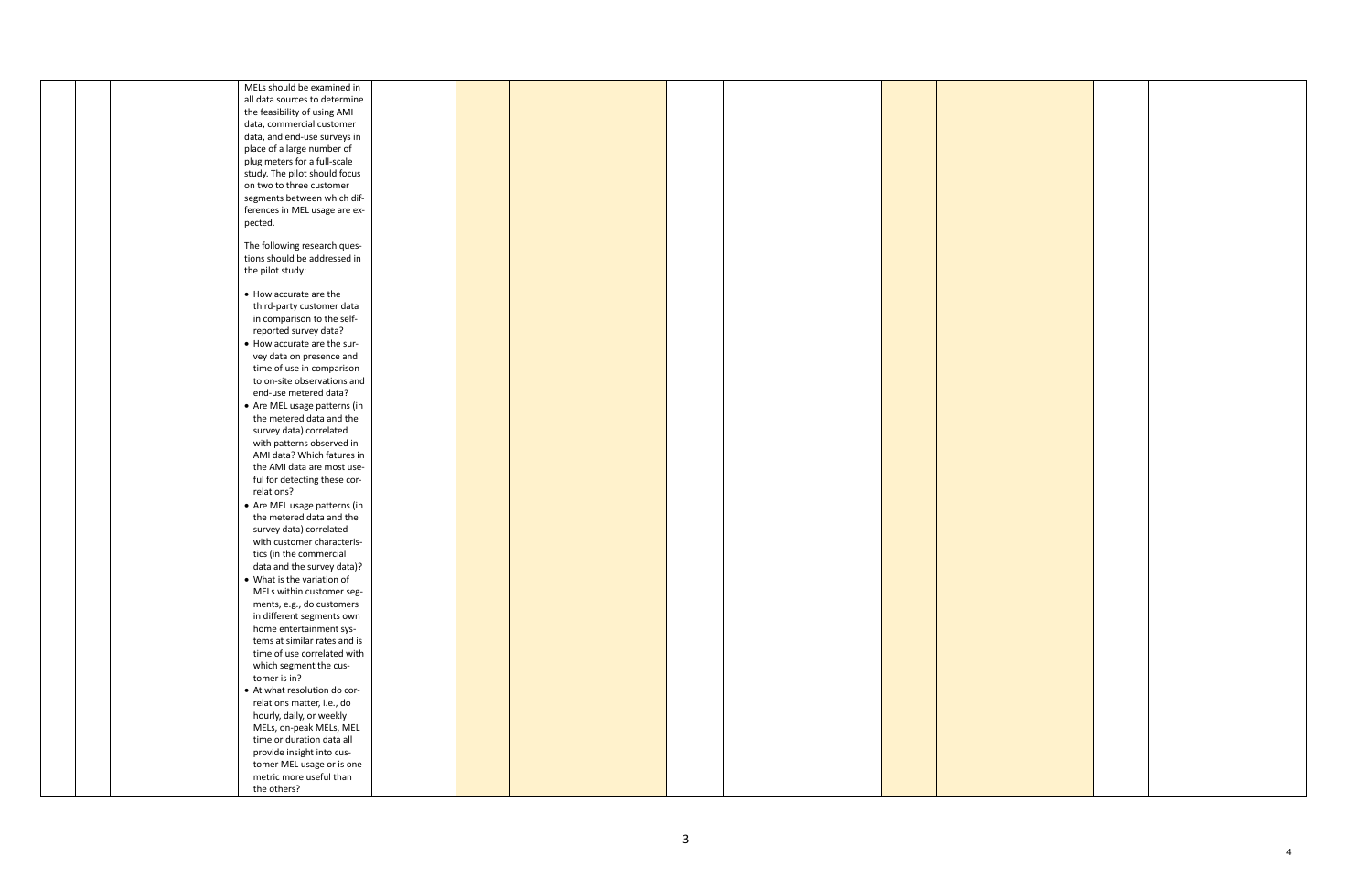|  | MELs should be examined in                                   |  |  |  |  |
|--|--------------------------------------------------------------|--|--|--|--|
|  | all data sources to determine                                |  |  |  |  |
|  | the feasibility of using AMI                                 |  |  |  |  |
|  | data, commercial customer                                    |  |  |  |  |
|  | data, and end-use surveys in                                 |  |  |  |  |
|  | place of a large number of                                   |  |  |  |  |
|  | plug meters for a full-scale                                 |  |  |  |  |
|  | study. The pilot should focus                                |  |  |  |  |
|  | on two to three customer                                     |  |  |  |  |
|  | segments between which dif-                                  |  |  |  |  |
|  | ferences in MEL usage are ex-                                |  |  |  |  |
|  | pected.                                                      |  |  |  |  |
|  |                                                              |  |  |  |  |
|  | The following research ques-<br>tions should be addressed in |  |  |  |  |
|  | the pilot study:                                             |  |  |  |  |
|  |                                                              |  |  |  |  |
|  | • How accurate are the                                       |  |  |  |  |
|  | third-party customer data                                    |  |  |  |  |
|  | in comparison to the self-                                   |  |  |  |  |
|  | reported survey data?                                        |  |  |  |  |
|  | • How accurate are the sur-                                  |  |  |  |  |
|  | vey data on presence and                                     |  |  |  |  |
|  | time of use in comparison                                    |  |  |  |  |
|  | to on-site observations and                                  |  |  |  |  |
|  | end-use metered data?                                        |  |  |  |  |
|  | • Are MEL usage patterns (in                                 |  |  |  |  |
|  | the metered data and the                                     |  |  |  |  |
|  | survey data) correlated                                      |  |  |  |  |
|  | with patterns observed in                                    |  |  |  |  |
|  | AMI data? Which fatures in                                   |  |  |  |  |
|  | the AMI data are most use-                                   |  |  |  |  |
|  | ful for detecting these cor-                                 |  |  |  |  |
|  | relations?                                                   |  |  |  |  |
|  | • Are MEL usage patterns (in                                 |  |  |  |  |
|  | the metered data and the                                     |  |  |  |  |
|  | survey data) correlated                                      |  |  |  |  |
|  | with customer characteris-                                   |  |  |  |  |
|  | tics (in the commercial                                      |  |  |  |  |
|  | data and the survey data)?                                   |  |  |  |  |
|  | • What is the variation of                                   |  |  |  |  |
|  | MELs within customer seg-                                    |  |  |  |  |
|  | ments, e.g., do customers                                    |  |  |  |  |
|  | in different segments own                                    |  |  |  |  |
|  | home entertainment sys-                                      |  |  |  |  |
|  | tems at similar rates and is                                 |  |  |  |  |
|  | time of use correlated with                                  |  |  |  |  |
|  | which segment the cus-                                       |  |  |  |  |
|  | tomer is in?                                                 |  |  |  |  |
|  | • At what resolution do cor-                                 |  |  |  |  |
|  | relations matter, i.e., do                                   |  |  |  |  |
|  | hourly, daily, or weekly                                     |  |  |  |  |
|  | MELs, on-peak MELs, MEL                                      |  |  |  |  |
|  | time or duration data all                                    |  |  |  |  |
|  | provide insight into cus-                                    |  |  |  |  |
|  | tomer MEL usage or is one                                    |  |  |  |  |
|  | metric more useful than                                      |  |  |  |  |
|  | the others?                                                  |  |  |  |  |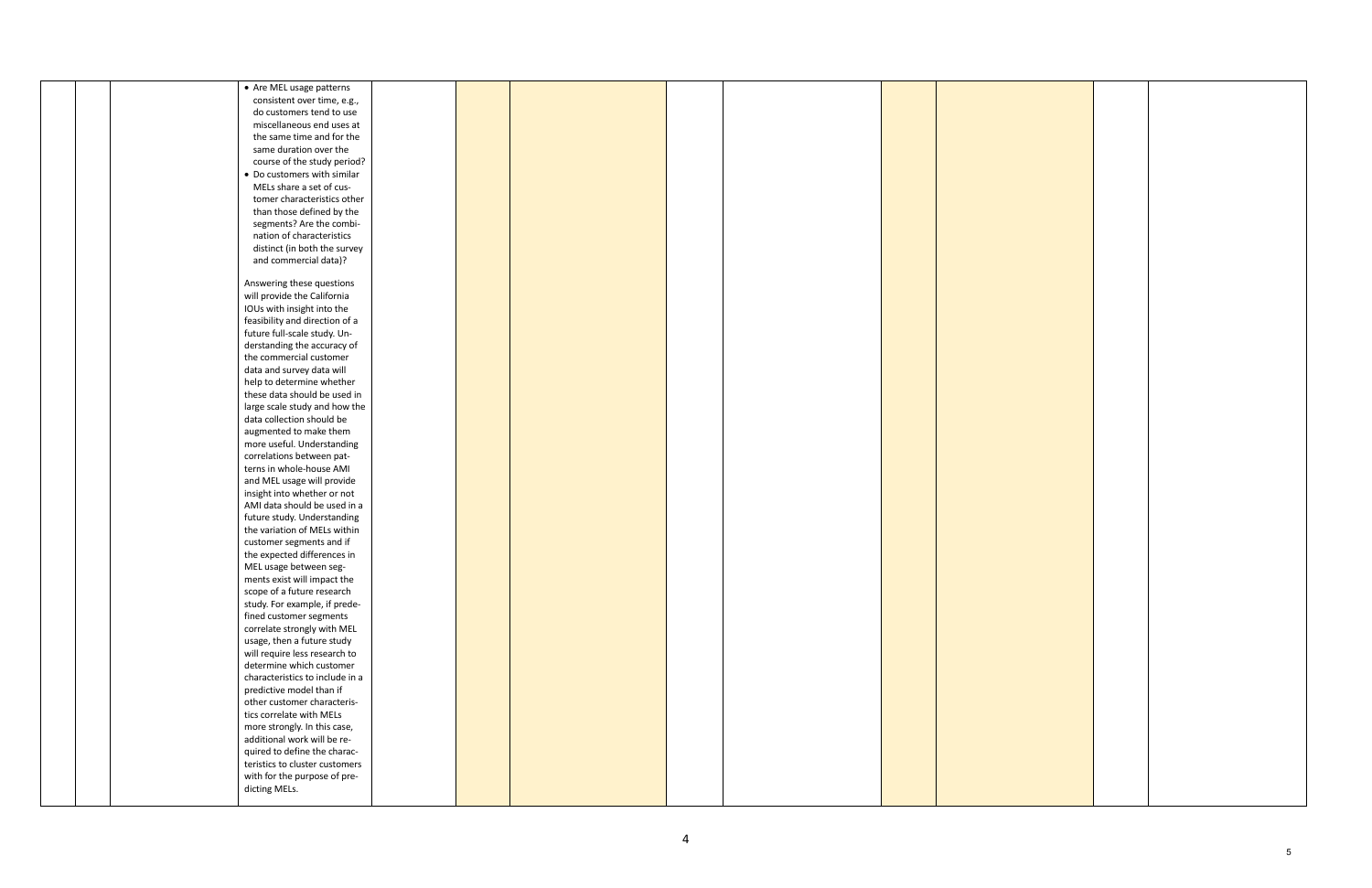|  | • Are MEL usage patterns        |  |  |  |
|--|---------------------------------|--|--|--|
|  | consistent over time, e.g.,     |  |  |  |
|  | do customers tend to use        |  |  |  |
|  | miscellaneous end uses at       |  |  |  |
|  | the same time and for the       |  |  |  |
|  | same duration over the          |  |  |  |
|  | course of the study period?     |  |  |  |
|  | • Do customers with similar     |  |  |  |
|  | MELs share a set of cus-        |  |  |  |
|  | tomer characteristics other     |  |  |  |
|  | than those defined by the       |  |  |  |
|  | segments? Are the combi-        |  |  |  |
|  | nation of characteristics       |  |  |  |
|  | distinct (in both the survey    |  |  |  |
|  | and commercial data)?           |  |  |  |
|  |                                 |  |  |  |
|  | Answering these questions       |  |  |  |
|  | will provide the California     |  |  |  |
|  |                                 |  |  |  |
|  | IOUs with insight into the      |  |  |  |
|  | feasibility and direction of a  |  |  |  |
|  | future full-scale study. Un-    |  |  |  |
|  | derstanding the accuracy of     |  |  |  |
|  | the commercial customer         |  |  |  |
|  | data and survey data will       |  |  |  |
|  | help to determine whether       |  |  |  |
|  | these data should be used in    |  |  |  |
|  | large scale study and how the   |  |  |  |
|  | data collection should be       |  |  |  |
|  | augmented to make them          |  |  |  |
|  | more useful. Understanding      |  |  |  |
|  | correlations between pat-       |  |  |  |
|  | terns in whole-house AMI        |  |  |  |
|  | and MEL usage will provide      |  |  |  |
|  | insight into whether or not     |  |  |  |
|  | AMI data should be used in a    |  |  |  |
|  | future study. Understanding     |  |  |  |
|  | the variation of MELs within    |  |  |  |
|  | customer segments and if        |  |  |  |
|  | the expected differences in     |  |  |  |
|  | MEL usage between seg-          |  |  |  |
|  | ments exist will impact the     |  |  |  |
|  | scope of a future research      |  |  |  |
|  | study. For example, if prede-   |  |  |  |
|  | fined customer segments         |  |  |  |
|  |                                 |  |  |  |
|  | correlate strongly with MEL     |  |  |  |
|  | usage, then a future study      |  |  |  |
|  | will require less research to   |  |  |  |
|  | determine which customer        |  |  |  |
|  | characteristics to include in a |  |  |  |
|  | predictive model than if        |  |  |  |
|  | other customer characteris-     |  |  |  |
|  | tics correlate with MELs        |  |  |  |
|  | more strongly. In this case,    |  |  |  |
|  | additional work will be re-     |  |  |  |
|  | quired to define the charac-    |  |  |  |
|  | teristics to cluster customers  |  |  |  |
|  | with for the purpose of pre-    |  |  |  |
|  | dicting MELs.                   |  |  |  |
|  |                                 |  |  |  |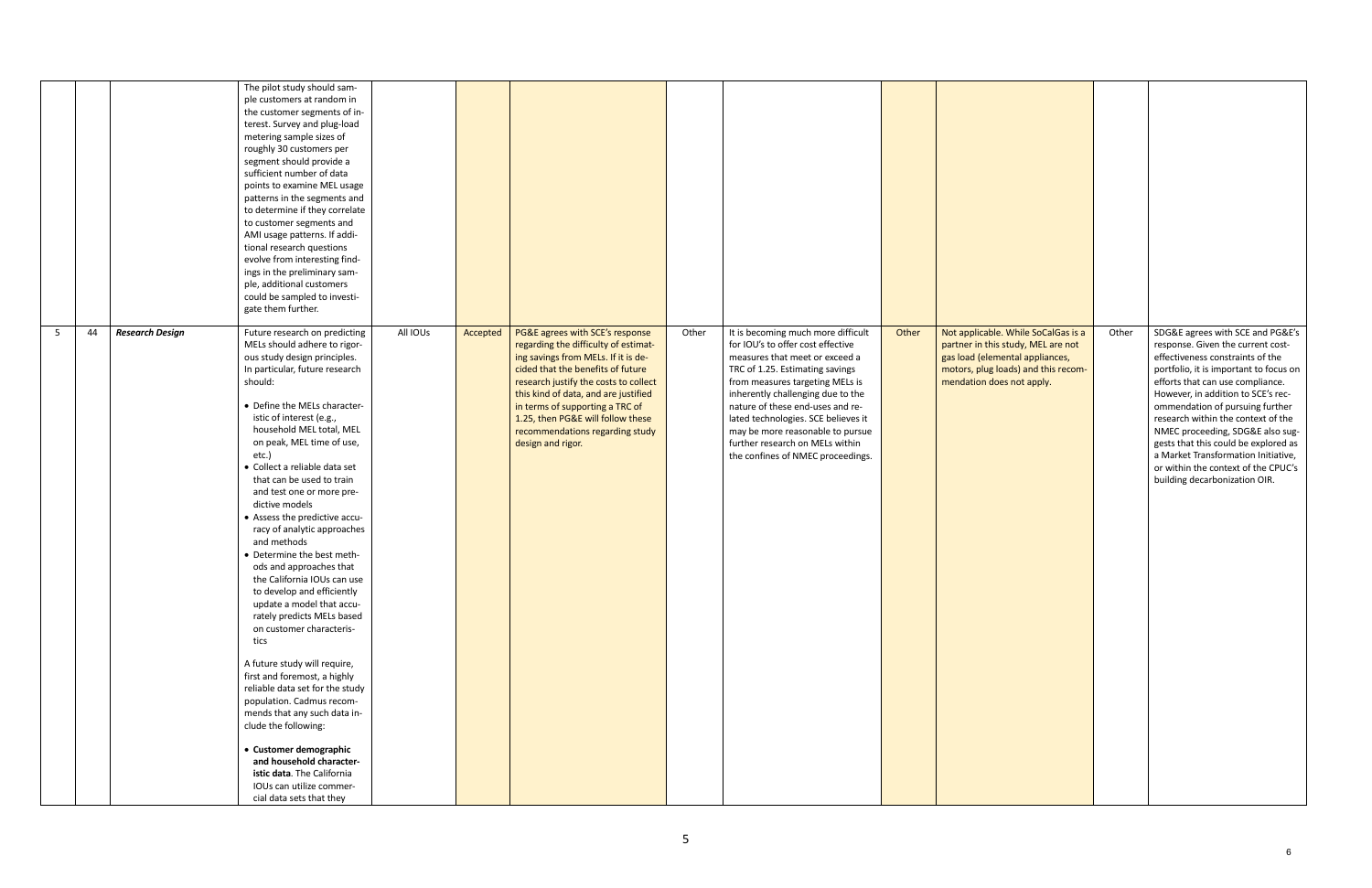|   |                              | The pilot study should sam-<br>ple customers at random in<br>the customer segments of in-<br>terest. Survey and plug-load<br>metering sample sizes of<br>roughly 30 customers per<br>segment should provide a<br>sufficient number of data<br>points to examine MEL usage<br>patterns in the segments and<br>to determine if they correlate<br>to customer segments and<br>AMI usage patterns. If addi-<br>tional research questions<br>evolve from interesting find-<br>ings in the preliminary sam-<br>ple, additional customers<br>could be sampled to investi-<br>gate them further.                                                                                                                                                                                                                                                                                                                                                                                                                                      |          |          |                                                                                                                                                                                                                                                                                                                                                                      |       |                                                                                                                                                                                                                                                                                                                                                                                                             |       |                                                                                                                                                                                  |       |                                                                                                                                                                                                                                                                                                                                                                                                                                                                                                   |
|---|------------------------------|-------------------------------------------------------------------------------------------------------------------------------------------------------------------------------------------------------------------------------------------------------------------------------------------------------------------------------------------------------------------------------------------------------------------------------------------------------------------------------------------------------------------------------------------------------------------------------------------------------------------------------------------------------------------------------------------------------------------------------------------------------------------------------------------------------------------------------------------------------------------------------------------------------------------------------------------------------------------------------------------------------------------------------|----------|----------|----------------------------------------------------------------------------------------------------------------------------------------------------------------------------------------------------------------------------------------------------------------------------------------------------------------------------------------------------------------------|-------|-------------------------------------------------------------------------------------------------------------------------------------------------------------------------------------------------------------------------------------------------------------------------------------------------------------------------------------------------------------------------------------------------------------|-------|----------------------------------------------------------------------------------------------------------------------------------------------------------------------------------|-------|---------------------------------------------------------------------------------------------------------------------------------------------------------------------------------------------------------------------------------------------------------------------------------------------------------------------------------------------------------------------------------------------------------------------------------------------------------------------------------------------------|
| 5 | <b>Research Design</b><br>44 | Future research on predicting<br>MELs should adhere to rigor-<br>ous study design principles.<br>In particular, future research<br>should:<br>• Define the MELs character-<br>istic of interest (e.g.,<br>household MEL total, MEL<br>on peak, MEL time of use,<br>etc.)<br>· Collect a reliable data set<br>that can be used to train<br>and test one or more pre-<br>dictive models<br>• Assess the predictive accu-<br>racy of analytic approaches<br>and methods<br>• Determine the best meth-<br>ods and approaches that<br>the California IOUs can use<br>to develop and efficiently<br>update a model that accu-<br>rately predicts MELs based<br>on customer characteris-<br>tics<br>A future study will require,<br>first and foremost, a highly<br>reliable data set for the study<br>population. Cadmus recom-<br>mends that any such data in-<br>clude the following:<br>• Customer demographic<br>and household character-<br>istic data. The California<br>IOUs can utilize commer-<br>cial data sets that they | All IOUs | Accepted | PG&E agrees with SCE's response<br>regarding the difficulty of estimat-<br>ing savings from MELs. If it is de-<br>cided that the benefits of future<br>research justify the costs to collect<br>this kind of data, and are justified<br>in terms of supporting a TRC of<br>1.25, then PG&E will follow these<br>recommendations regarding study<br>design and rigor. | Other | It is becoming much more difficult<br>for IOU's to offer cost effective<br>measures that meet or exceed a<br>TRC of 1.25. Estimating savings<br>from measures targeting MELs is<br>inherently challenging due to the<br>nature of these end-uses and re-<br>lated technologies. SCE believes it<br>may be more reasonable to pursue<br>further research on MELs within<br>the confines of NMEC proceedings. | Other | Not applicable. While SoCalGas is a<br>partner in this study, MEL are not<br>gas load (elemental appliances,<br>motors, plug loads) and this recom-<br>mendation does not apply. | Other | SDG&E agrees with SCE and PG&E's<br>response. Given the current cost-<br>effectiveness constraints of the<br>portfolio, it is important to focus on<br>efforts that can use compliance.<br>However, in addition to SCE's rec-<br>ommendation of pursuing further<br>research within the context of the<br>NMEC proceeding, SDG&E also sug-<br>gests that this could be explored as<br>a Market Transformation Initiative,<br>or within the context of the CPUC's<br>building decarbonization OIR. |